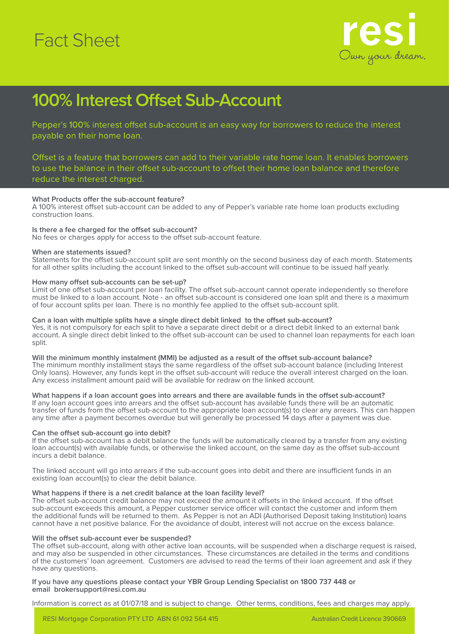# Fact Sheet



### **100% Interest Offset Sub-Account**

Pepper's 100% interest offset sub-account is an easy way for borrowers to reduce the interest payable on their home loan.

Offset is a feature that borrowers can add to their variable rate home loan. It enables borrowers to use the balance in their offset sub-account to offset their home loan balance and therefore reduce the interest charged.

### **What Products offer the sub-account feature?**

A 100% interest offset sub-account can be added to any of Pepper's variable rate home loan products excluding construction loans.

### **Is there a fee charged for the offset sub-account?**

No fees or charges apply for access to the offset sub-account feature.

### **When are statements issued?**

Statements for the offset sub-account split are sent monthly on the second business day of each month. Statements for all other splits including the account linked to the offset sub-account will continue to be issued half yearly.

### **How many offset sub-accounts can be set-up?**

Limit of one offset sub-account per loan facility. The offset sub-account cannot operate independently so therefore must be linked to a loan account. Note - an offset sub-account is considered one loan split and there is a maximum of four account splits per loan. There is no monthly fee applied to the offset sub-account split.

### **Can a loan with multiple splits have a single direct debit linked to the offset sub-account?**

Yes, it is not compulsory for each split to have a separate direct debit or a direct debit linked to an external bank account. A single direct debit linked to the offset sub-account can be used to channel loan repayments for each loan split.

**Will the minimum monthly instalment (MMI) be adjusted as a result of the offset sub-account balance?** The minimum monthly installment stays the same regardless of the offset sub-account balance (including Interest Only loans). However, any funds kept in the offset sub-account will reduce the overall interest charged on the loan. Any excess installment amount paid will be available for redraw on the linked account.

### **What happens if a loan account goes into arrears and there are available funds in the offset sub-account?**

If any loan account goes into arrears and the offset sub-account has available funds there will be an automatic transfer of funds from the offset sub-account to the appropriate loan account(s) to clear any arrears. This can happen any time after a payment becomes overdue but will generally be processed 14 days after a payment was due.

### **Can the offset sub-account go into debit?**

If the offset sub-account has a debit balance the funds will be automatically cleared by a transfer from any existing loan account(s) with available funds, or otherwise the linked account, on the same day as the offset sub-account incurs a debit balance.

The linked account will go into arrears if the sub-account goes into debit and there are insufficient funds in an existing loan account(s) to clear the debit balance.

### **What happens if there is a net credit balance at the loan facility level?**

The offset sub-account credit balance may not exceed the amount it offsets in the linked account. If the offset sub-account exceeds this amount, a Pepper customer service officer will contact the customer and inform them the additional funds will be returned to them. As Pepper is not an ADI (Authorised Deposit taking Institution) loans cannot have a net positive balance. For the avoidance of doubt, interest will not accrue on the excess balance.

### **Will the offset sub-account ever be suspended?**

The offset sub-account, along with other active loan accounts, will be suspended when a discharge request is raised, and may also be suspended in other circumstances. These circumstances are detailed in the terms and conditions of the customers' loan agreement. Customers are advised to read the terms of their loan agreement and ask if they have any questions.

#### **If you have any questions please contact your YBR Group Lending Specialist on 1800 737 448 or email brokersupport@resi.com.au**

Information is correct as at 01/07/18 and is subject to change. Other terms, conditions, fees and charges may apply.